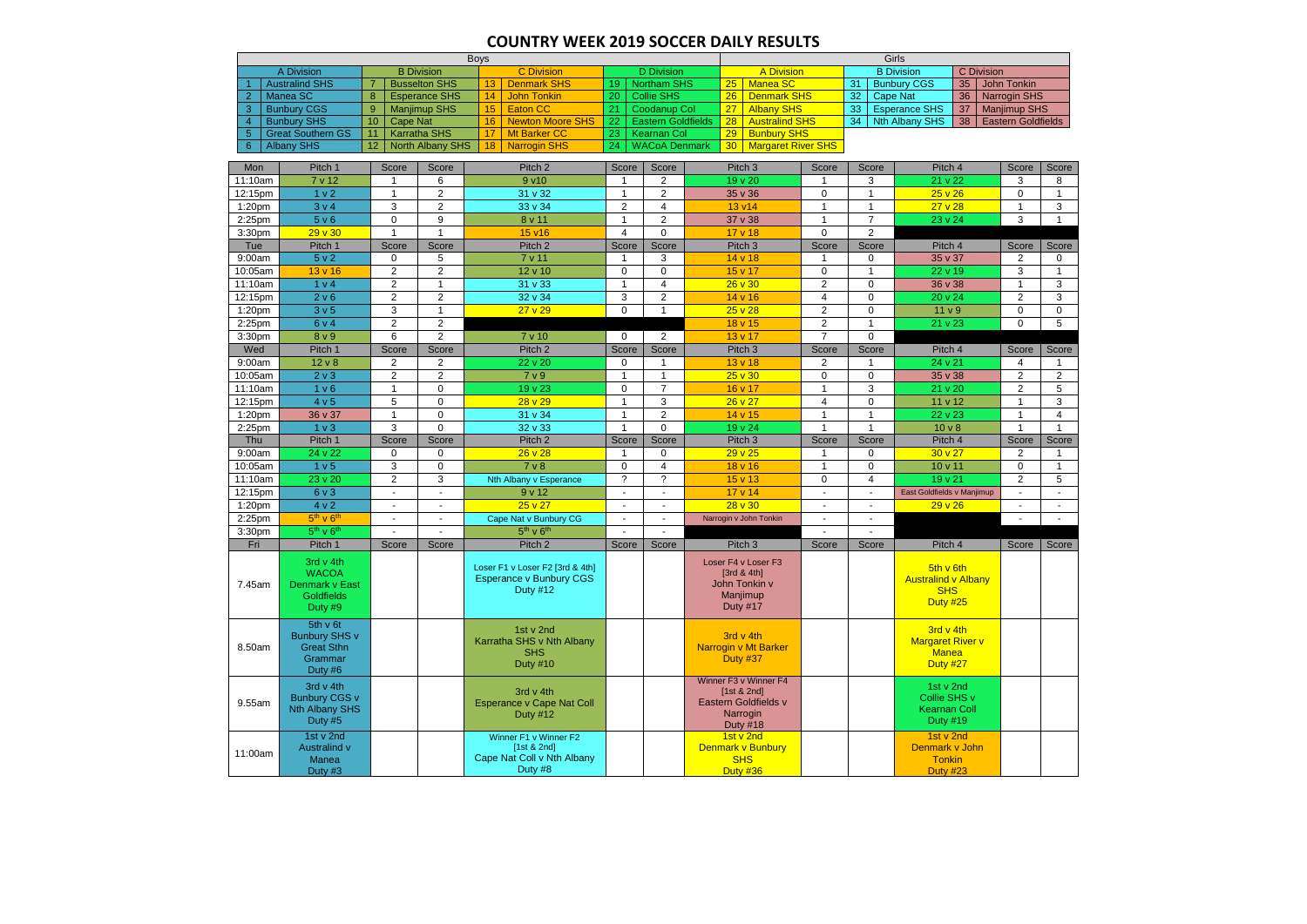## **COUNTRY WEEK 2019 SOCCER DAILY RESULTS**

|                                                                          | <b>Boys</b>                                                               |                            |                 |                      |                                                                                      |                                                        |                                                                   | Girls                          |                               |                                                              |                          |                        |                          |                                                       |                     |                     |                           |              |
|--------------------------------------------------------------------------|---------------------------------------------------------------------------|----------------------------|-----------------|----------------------|--------------------------------------------------------------------------------------|--------------------------------------------------------|-------------------------------------------------------------------|--------------------------------|-------------------------------|--------------------------------------------------------------|--------------------------|------------------------|--------------------------|-------------------------------------------------------|---------------------|---------------------|---------------------------|--------------|
|                                                                          | <b>B</b> Division<br><b>C</b> Division<br><b>D</b> Division<br>A Division |                            |                 |                      |                                                                                      |                                                        | <b>B</b> Division<br><b>A Division</b><br><b>C</b> Division<br>35 |                                |                               |                                                              |                          |                        |                          |                                                       |                     |                     |                           |              |
|                                                                          | <b>Australind SHS</b>                                                     | <b>Busselton SHS</b><br>-7 |                 |                      | <b>Denmark SHS</b><br>13 <sup>°</sup>                                                |                                                        | <b>Northam SHS</b><br>19 <sup>°</sup>                             |                                | Manea SC<br>25                |                                                              | 31                       |                        | <b>Bunbury CGS</b>       |                                                       | <b>John Tonkin</b>  |                     |                           |              |
| $\overline{2}$                                                           | Manea SC                                                                  | 8                          |                 | <b>Esperance SHS</b> | 14<br><b>John Tonkin</b>                                                             | <b>Collie SHS</b><br>20<br><b>Coodanup Col</b>         |                                                                   | <b>Denmark SHS</b><br>26<br>27 |                               | 32                                                           |                          | 36<br><b>Cape Nat</b>  |                          |                                                       | <b>Narrogin SHS</b> |                     |                           |              |
| -3                                                                       | <b>Bunbury CGS</b>                                                        | $\overline{9}$             |                 | <b>Manjimup SHS</b>  | 15<br><b>Eaton CC</b>                                                                | 21                                                     |                                                                   |                                |                               | <b>Albany SHS</b>                                            |                          | 33                     |                          | <b>Esperance SHS</b><br>37                            |                     | <b>Manjimup SHS</b> |                           |              |
| $\boldsymbol{A}$                                                         | <b>Bunbury SHS</b>                                                        | 10<br>11                   | <b>Cape Nat</b> |                      | 16<br><b>Newton Moore SHS</b>                                                        | 22                                                     | <b>Eastern Goldfields</b>                                         |                                | 28<br><b>Australind SHS</b>   |                                                              |                          | 34                     |                          | <b>Nth Albany SHS</b><br>38                           |                     |                     | <b>Eastern Goldfields</b> |              |
| 6                                                                        | <b>Great Southern GS</b><br>-5<br><b>Albany SHS</b>                       |                            |                 | <b>Karratha SHS</b>  | <b>Mt Barker CC</b><br>17<br>18                                                      | 23<br><b>Kearnan Col</b><br><b>WACoA Denmark</b><br>24 |                                                                   |                                | 29                            | <b>Bunbury SHS</b>                                           |                          |                        |                          |                                                       |                     |                     |                           |              |
| North Albany SHS<br>30   Margaret River SHS<br>12<br><b>Narrogin SHS</b> |                                                                           |                            |                 |                      |                                                                                      |                                                        |                                                                   |                                |                               |                                                              |                          |                        |                          |                                                       |                     |                     |                           |              |
| Mon                                                                      | Pitch 1                                                                   |                            | Score           | Score                | Pitch <sub>2</sub>                                                                   | Score                                                  | Score                                                             |                                | Pitch <sub>3</sub>            |                                                              | Score                    |                        | Score                    | Pitch 4                                               |                     |                     | Score                     | Score        |
| 11:10am                                                                  | 7 v 12                                                                    |                            |                 | 6                    | 9 v10                                                                                | -1                                                     | $\overline{c}$                                                    | 19 v 20                        |                               |                                                              |                          | 3                      | 21 v 22                  |                                                       |                     | 3                   | 8                         |              |
| 12:15pm                                                                  | 1 <sub>v</sub> 2                                                          |                            |                 | $\overline{c}$       | 31 v 32                                                                              | 1                                                      | $\overline{c}$                                                    | 35 v 36                        |                               | $\mathbf 0$                                                  |                          | $\overline{1}$         |                          | 25 v 26                                               |                     | $\Omega$            | $\mathbf{1}$              |              |
| 1:20 <sub>pm</sub>                                                       | 3 v 4                                                                     |                            | 3               | $\overline{2}$       | 33 v 34                                                                              | $\overline{2}$                                         | $\overline{4}$                                                    |                                | 13 v14                        |                                                              | $\overline{1}$           |                        | $\overline{1}$           | 27v28                                                 |                     |                     |                           | 3            |
| 2:25pm                                                                   | 5 v 6                                                                     |                            | $\mathbf 0$     | 9                    | 8 v 11                                                                               | 1                                                      | $\overline{c}$                                                    |                                | 37 v 38                       |                                                              | $\mathbf{1}$             |                        | $\overline{7}$           | 23 v 24                                               |                     |                     | 3                         | $\mathbf{1}$ |
| 3:30pm                                                                   | 29v30                                                                     |                            |                 | $\overline{1}$       | 15 v16                                                                               | $\overline{4}$                                         | $\mathbf 0$                                                       |                                | 17 v 18                       |                                                              | $\mathbf 0$              |                        | $\overline{2}$           |                                                       |                     |                     |                           |              |
| Tue                                                                      | Pitch 1                                                                   |                            | Score           | Score                | Pitch <sub>2</sub>                                                                   | Score                                                  | Score                                                             |                                | Pitch <sub>3</sub>            |                                                              | Score                    |                        | Score                    | Pitch 4                                               |                     |                     | Score                     | Score        |
| 9:00am                                                                   | 5 v 2                                                                     |                            | $\mathbf 0$     | 5                    | 7 v 11                                                                               | $\mathbf{1}$                                           | 3                                                                 |                                | 14 v 18                       |                                                              | 1                        |                        | $\mathbf 0$              | 35 v 37                                               |                     |                     | $\overline{2}$            | $\mathbf 0$  |
| 10:05am                                                                  | $13 \vee 16$                                                              |                            | $\overline{c}$  | $\overline{c}$       | 12 v 10                                                                              | $\mathbf 0$                                            | $\pmb{0}$                                                         |                                | 15 v 17                       |                                                              | $\mathbf 0$              |                        | $\overline{1}$           | 22 v 19                                               |                     |                     | 3                         | $\mathbf{1}$ |
| 11:10am                                                                  | 1 v 4                                                                     |                            | $\overline{c}$  | $\overline{1}$       | 31 v 33                                                                              | $\mathbf{1}$                                           | $\overline{4}$                                                    |                                | $26 \vee 30$                  |                                                              | $\overline{c}$           | $\mathbf 0$<br>36 v 38 |                          |                                                       | $\overline{1}$      | 3                   |                           |              |
| 12:15pm                                                                  | 2 v 6                                                                     |                            | $\overline{c}$  | $\overline{c}$       | 32 v 34                                                                              | 3                                                      | $\overline{c}$                                                    |                                | 14 v 16                       |                                                              | $\overline{\mathbf{4}}$  |                        | $\mathbf 0$              | 20 v 24                                               |                     |                     | $\overline{c}$            | 3            |
| 1:20pm                                                                   | 3 <sub>v</sub> 5                                                          |                            | 3               | $\overline{1}$       | 27 v 29                                                                              | $\Omega$                                               | $\mathbf{1}$                                                      |                                | 25 v 28                       |                                                              | $\overline{c}$           |                        | $\mathbf 0$              | 11 <sub>v</sub> 9                                     |                     |                     | $\pmb{0}$                 | 0            |
| 2:25pm                                                                   | 6 v 4                                                                     |                            | $\overline{c}$  | $\overline{c}$       |                                                                                      |                                                        |                                                                   |                                | 18 v 15                       |                                                              | $\overline{2}$           |                        | $\overline{1}$           | 21 v 23                                               |                     |                     | $\Omega$                  | 5            |
| 3:30pm                                                                   | 8 v 9                                                                     |                            | 6               | $\overline{2}$       | 7 v 10                                                                               | $\Omega$                                               | $\overline{2}$                                                    |                                | 13 v 17                       |                                                              | $\overline{7}$           |                        | $\Omega$                 |                                                       |                     |                     |                           |              |
| Wed                                                                      | Pitch 1                                                                   |                            | Score           | Score                | Pitch <sub>2</sub>                                                                   | Score                                                  | Score                                                             |                                | Pitch <sub>3</sub>            |                                                              | Score                    |                        | Score                    | Pitch 4                                               |                     |                     | Score                     | Score        |
| 9:00am                                                                   | $12 \vee 8$                                                               |                            | 2               | $\overline{2}$       | 22 v 20                                                                              | $\mathbf 0$                                            | 1                                                                 |                                | $13 \vee 18$                  |                                                              | $\overline{2}$           |                        |                          | 24 v 21                                               |                     |                     | 4                         |              |
| 10:05am                                                                  | 2 <sub>v</sub>                                                            |                            | $\overline{c}$  | $\overline{2}$       | 7 v 9                                                                                | 1                                                      | $\mathbf{1}$                                                      |                                | 25 v 30                       |                                                              | 0                        | $\mathbf 0$            |                          | 35 v 38                                               |                     | $\overline{2}$      | $\overline{2}$            |              |
| 11:10am                                                                  | 1 <sub>v</sub> 6                                                          |                            | $\overline{1}$  | $\mathbf 0$          | 19 v 23                                                                              | $\mathbf 0$                                            | $\overline{7}$                                                    |                                | 16 v 17                       |                                                              | $\mathbf{1}$             |                        | 3                        | 21 v 20                                               |                     |                     | $\overline{2}$            | 5            |
| 12:15pm                                                                  | 4 v 5                                                                     |                            | 5               | $\mathbf 0$          | 28 v 29                                                                              | 1                                                      | 3                                                                 |                                | 26 v 27                       |                                                              | $\overline{\mathbf{4}}$  |                        | 0                        | 11 v 12                                               |                     |                     |                           | 3            |
| 1:20pm                                                                   | 36 v 37                                                                   |                            | $\overline{1}$  | $\mathbf 0$          | 31 v 34                                                                              | 1                                                      | $\overline{c}$                                                    |                                | 14 v 15                       |                                                              | $\mathbf{1}$             |                        | $\overline{1}$           | 22 v 23                                               |                     |                     | $\overline{1}$            | 4            |
| 2:25pm                                                                   | 1 <sub>v</sub>                                                            |                            | 3               | $\Omega$             | 32 v 33                                                                              | 1                                                      | 0                                                                 |                                | 19 v 24                       |                                                              | $\overline{1}$           |                        | $\overline{1}$           | 10 <sub>v</sub>                                       |                     |                     | $\overline{1}$            | 1            |
| Thu                                                                      | Pitch 1                                                                   |                            | Score           | Score                | Pitch <sub>2</sub>                                                                   | Score                                                  | Score                                                             |                                | Pitch <sub>3</sub>            |                                                              | Score                    |                        | Score                    | Pitch 4                                               |                     |                     | Score                     | Score        |
| 9:00am                                                                   | 24 v 22                                                                   |                            | $\mathbf 0$     | $\mathbf 0$          | 26 v 28                                                                              | 1                                                      | $\mathbf 0$                                                       |                                | 29v25                         |                                                              | 1                        |                        | $\mathbf 0$              | 30 <sub>v</sub> 27                                    |                     |                     | 2                         | 1            |
| 10:05am                                                                  | 1 <sub>v</sub> 5                                                          |                            | 3               | $\mathbf 0$          | 7 <sub>v</sub> 8                                                                     | $\Omega$                                               | $\overline{4}$                                                    |                                | 18 v 16                       |                                                              | $\mathbf{1}$             |                        | $\mathbf 0$              | 10 v 11                                               |                     |                     | $\mathbf 0$               | $\mathbf{1}$ |
| 11:10am                                                                  | 23 v 20                                                                   |                            | $\overline{c}$  | 3                    | Nth Albany v Esperance                                                               | $\gamma$                                               | $\tilde{?}$                                                       |                                | 15 v 13                       |                                                              | 0                        |                        | $\overline{4}$           | 19 v 21                                               |                     |                     | $\overline{2}$            | 5            |
| 12:15pm                                                                  | 6 v 3                                                                     |                            |                 | $\blacksquare$       | 9v12                                                                                 | $\overline{\phantom{a}}$                               | $\blacksquare$                                                    |                                | 17 v 14                       |                                                              | $\blacksquare$           |                        | $\overline{\phantom{a}}$ | East Goldfields v Manjimup                            |                     |                     |                           |              |
| 1:20pm                                                                   | 4 v 2                                                                     |                            |                 | ٠                    | $25 \vee 27$                                                                         | $\overline{\phantom{a}}$                               | $\sim$                                                            |                                | $28 \times 30$                |                                                              | $\blacksquare$           |                        | $\blacksquare$           | 29 v 26                                               |                     |                     | $\blacksquare$            |              |
| $2:25$ pm                                                                | $5th$ v $6th$                                                             |                            |                 | ٠                    | Cape Nat v Bunbury CG                                                                |                                                        | $\overline{\phantom{a}}$                                          |                                |                               | Narrogin v John Tonkin                                       | $\overline{\phantom{a}}$ |                        | $\blacksquare$           |                                                       |                     |                     | $\overline{\phantom{a}}$  |              |
| 3:30pm                                                                   | $5th$ v $6th$                                                             |                            |                 |                      | $5th$ v $6th$                                                                        |                                                        |                                                                   |                                |                               |                                                              |                          |                        |                          |                                                       |                     |                     |                           |              |
| Fri                                                                      | Pitch 1                                                                   |                            | Score           | Score                | Pitch 2                                                                              | Score                                                  | Score                                                             |                                | Pitch <sub>3</sub>            |                                                              | Score                    |                        | Score                    | Pitch 4                                               |                     |                     | Score                     | Score        |
| 7.45am                                                                   | 3rd v 4th<br><b>WACOA</b><br>Denmark v East                               |                            |                 |                      | Loser F1 v Loser F2 [3rd & 4th]<br><b>Esperance v Bunbury CGS</b><br><b>Duty #12</b> |                                                        |                                                                   |                                | [ $3rd & 4th$ ]               | Loser F4 v Loser F3<br>John Tonkin v<br>Manjimup             |                          |                        |                          | 5th v 6th<br><b>Australind v Albany</b><br><b>SHS</b> |                     |                     |                           |              |
|                                                                          | <b>Goldfields</b><br>Duty #9                                              |                            |                 |                      |                                                                                      |                                                        |                                                                   |                                | <b>Duty #17</b>               |                                                              |                          |                        |                          | <b>Duty #25</b>                                       |                     |                     |                           |              |
| 8.50am                                                                   | 5th v 6t<br>Bunbury SHS v<br><b>Great Sthn</b>                            |                            |                 |                      | 1st v 2nd<br>Karratha SHS v Nth Albany                                               |                                                        |                                                                   |                                | 3rd v 4th                     | <b>Narrogin v Mt Barker</b>                                  |                          |                        |                          | 3rd v 4th<br><b>Margaret River v</b>                  |                     |                     |                           |              |
|                                                                          | Grammar<br>Duty #6                                                        |                            |                 |                      | <b>SHS</b><br><b>Duty #10</b>                                                        |                                                        |                                                                   |                                | <b>Duty #37</b>               |                                                              |                          |                        |                          | <b>Manea</b><br><b>Duty #27</b>                       |                     |                     |                           |              |
| 9.55am                                                                   | 3rd v 4th<br><b>Bunbury CGS v</b>                                         |                            |                 |                      | 3rd $v$ 4th<br><b>Esperance v Cape Nat Coll</b>                                      |                                                        |                                                                   |                                |                               | Winner F3 v Winner F4<br>[1st & 2nd]<br>Eastern Goldfields v |                          |                        |                          | 1st v 2nd<br>Collie SHS v                             |                     |                     |                           |              |
|                                                                          | Nth Albany SHS<br>Duty #5                                                 |                            |                 |                      | <b>Duty #12</b>                                                                      |                                                        |                                                                   |                                | Narrogin<br>Duty #18          |                                                              |                          |                        |                          | <b>Kearnan Coll</b><br><b>Duty #19</b>                |                     |                     |                           |              |
| 11:00am                                                                  | 1st v 2nd<br>Australind v                                                 |                            |                 |                      | Winner F1 v Winner F2<br>[1st & 2nd]                                                 |                                                        |                                                                   |                                | 1st v 2nd                     | Denmark v Bunbury                                            |                          |                        |                          | 1st v 2nd<br>Denmark v John                           |                     |                     |                           |              |
|                                                                          | Manea<br>Duty #3                                                          |                            |                 |                      | Cape Nat Coll v Nth Albany<br>Duty #8                                                |                                                        |                                                                   |                                | <b>SHS</b><br><b>Duty #36</b> |                                                              |                          |                        |                          | <b>Tonkin</b><br><b>Duty #23</b>                      |                     |                     |                           |              |